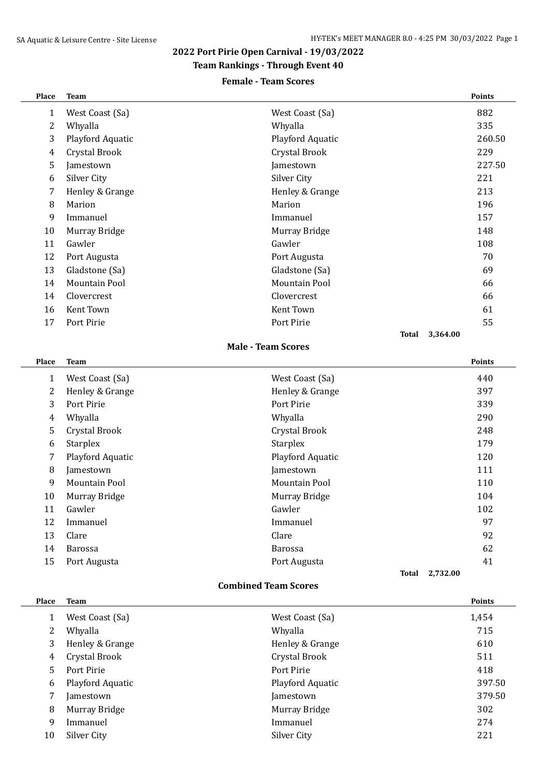## **2022 Port Pirie Open Carnival - 19/03/2022**

**Team Rankings - Through Event 40**

### **Female - Team Scores**

| Place          | <b>Team</b>          |                           |              |          | Points |
|----------------|----------------------|---------------------------|--------------|----------|--------|
| 1              | West Coast (Sa)      | West Coast (Sa)           |              |          | 882    |
| $\overline{c}$ | Whyalla              | Whyalla                   |              |          | 335    |
| 3              | Playford Aquatic     | Playford Aquatic          |              |          | 260.50 |
| 4              | Crystal Brook        | Crystal Brook             |              |          | 229    |
| 5              | Jamestown            | Jamestown                 |              |          | 227.50 |
| 6              | Silver City          | Silver City               |              |          | 221    |
| 7              | Henley & Grange      | Henley & Grange           |              |          | 213    |
| 8              | Marion               | Marion                    |              |          | 196    |
| 9              | Immanuel             | Immanuel                  |              |          | 157    |
| 10             | Murray Bridge        | Murray Bridge             |              |          | 148    |
| 11             | Gawler               | Gawler                    |              |          | 108    |
| 12             | Port Augusta         | Port Augusta              |              |          | 70     |
| 13             | Gladstone (Sa)       | Gladstone (Sa)            |              |          | 69     |
| 14             | Mountain Pool        | Mountain Pool             |              |          | 66     |
| 14             | Clovercrest          | Clovercrest               |              |          | 66     |
| 16             | Kent Town            | Kent Town                 |              |          | 61     |
| 17             | Port Pirie           | Port Pirie                |              |          | 55     |
|                |                      |                           | <b>Total</b> | 3,364.00 |        |
|                |                      | <b>Male - Team Scores</b> |              |          |        |
| Place          | <b>Team</b>          |                           |              |          | Points |
| $\mathbf{1}$   | West Coast (Sa)      | West Coast (Sa)           |              |          | 440    |
| 2              | Henley & Grange      | Henley & Grange           |              |          | 397    |
| 3              | Port Pirie           | Port Pirie                |              |          | 339    |
| 4              | Whyalla              | Whyalla                   |              |          | 290    |
| 5              | Crystal Brook        | Crystal Brook             |              |          | 248    |
| 6              | <b>Starplex</b>      | <b>Starplex</b>           |              |          | 179    |
| 7              | Playford Aquatic     | Playford Aquatic          |              |          | 120    |
| 8              | Jamestown            | Jamestown                 |              |          | 111    |
| 9              | <b>Mountain Pool</b> | <b>Mountain Pool</b>      |              |          | 110    |
| 10             | Murray Bridge        | Murray Bridge             |              |          | 104    |
| 11             | Gawler               | Gawler                    |              |          | 102    |
| 12             | Immanuel             | Immanuel                  |              |          | 97     |
| 13             |                      | Clare                     |              |          | 92     |
|                | Clare                |                           |              |          |        |
| 14             | Barossa              | Barossa                   |              |          | 62     |
| 15             | Port Augusta         | Port Augusta              |              |          | 41     |

#### **Combined Team Scores**

| Place                 | <b>Team</b>      |                  | <b>Points</b> |
|-----------------------|------------------|------------------|---------------|
|                       | West Coast (Sa)  | West Coast (Sa)  | 1,454         |
| $\mathbf{2}^{\prime}$ | Whyalla          | Whyalla          | 715           |
| 3                     | Henley & Grange  | Henley & Grange  | 610           |
| 4                     | Crystal Brook    | Crystal Brook    | 511           |
| 5.                    | Port Pirie       | Port Pirie       | 418           |
| 6                     | Playford Aquatic | Playford Aquatic | 397.50        |
|                       | Jamestown        | Jamestown        | 379.50        |
| 8                     | Murray Bridge    | Murray Bridge    | 302           |
| 9                     | Immanuel         | Immanuel         | 274           |
| 10                    | Silver City      | Silver City      | 221           |